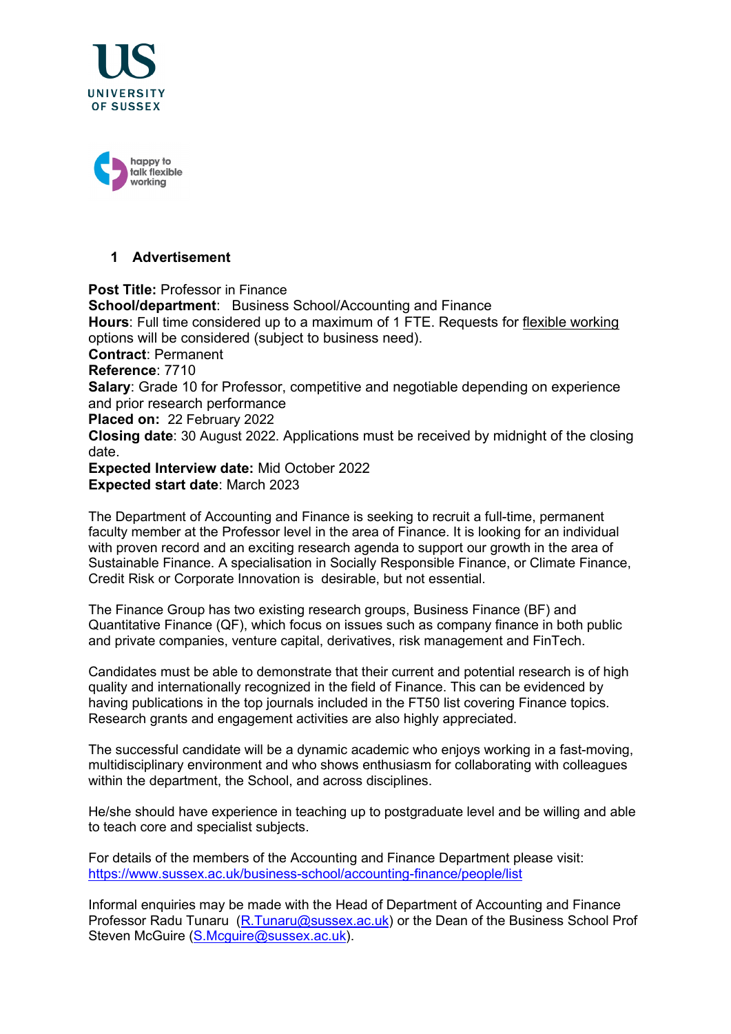



# **1 Advertisement**

**Post Title:** Professor in Finance **School/department**: Business School/Accounting and Finance **Hours**: Full time considered up to a maximum of 1 FTE. Requests for [flexible working](http://www.sussex.ac.uk/humanresources/personnel/flexible-working) options will be considered (subject to business need). **Contract**: Permanent **Reference**: 7710 **Salary:** Grade 10 for Professor, competitive and negotiable depending on experience and prior research performance **Placed on:** 22 February 2022 **Closing date**: 30 August 2022. Applications must be received by midnight of the closing date. **Expected Interview date:** Mid October 2022 **Expected start date**: March 2023

The Department of Accounting and Finance is seeking to recruit a full-time, permanent faculty member at the Professor level in the area of Finance. It is looking for an individual with proven record and an exciting research agenda to support our growth in the area of Sustainable Finance. A specialisation in Socially Responsible Finance, or Climate Finance, Credit Risk or Corporate Innovation is desirable, but not essential.

The Finance Group has two existing research groups, [Business Finance \(BF\)](http://www.sussex.ac.uk/bfrg/) and [Quantitative Finance \(QF\),](http://www.sussex.ac.uk/qfin/index) which focus on issues such as company finance in both public and private companies, venture capital, derivatives, risk management and FinTech.

Candidates must be able to demonstrate that their current and potential research is of high quality and internationally recognized in the field of Finance. This can be evidenced by having publications in the top journals included in the FT50 list covering Finance topics. Research grants and engagement activities are also highly appreciated.

The successful candidate will be a dynamic academic who enjoys working in a fast-moving, multidisciplinary environment and who shows enthusiasm for collaborating with colleagues within the department, the School, and across disciplines.

He/she should have experience in teaching up to postgraduate level and be willing and able to teach core and specialist subjects.

For details of the members of the Accounting and Finance Department please visit: <https://www.sussex.ac.uk/business-school/accounting-finance/people/list>

Informal enquiries may be made with the Head of Department of Accounting and Finance Professor Radu Tunaru [\(R.Tunaru@sussex.ac.uk\)](mailto:R.Tunaru@sussex.ac.uk) or the Dean of the Business School Prof Steven McGuire [\(S.Mcguire@sussex.ac.uk\)](mailto:S.Mcguire@sussex.ac.uk).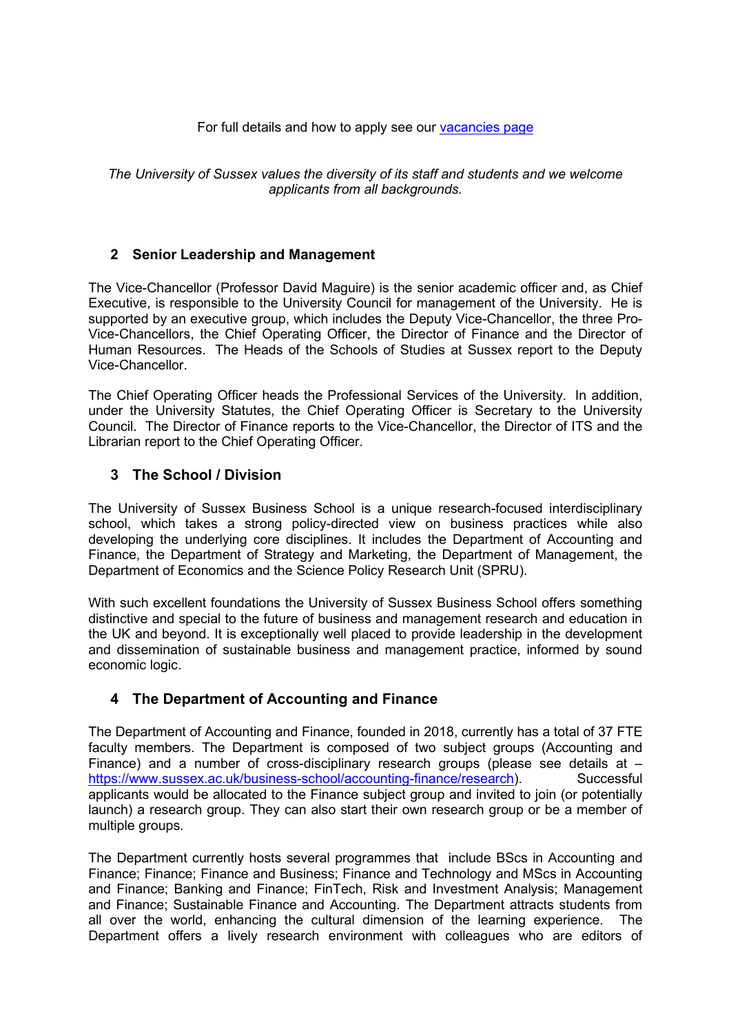#### For full details and how to apply see our [vacancies page](http://www.sussex.ac.uk/about/jobs)

*The University of Sussex values the diversity of its staff and students and we welcome applicants from all backgrounds.*

## **2 Senior Leadership and Management**

The Vice-Chancellor (Professor David Maguire) is the senior academic officer and, as Chief Executive, is responsible to the University Council for management of the University. He is supported by an executive group, which includes the Deputy Vice-Chancellor, the three Pro-Vice-Chancellors, the Chief Operating Officer, the Director of Finance and the Director of Human Resources. The Heads of the Schools of Studies at Sussex report to the Deputy Vice-Chancellor.

The Chief Operating Officer heads the Professional Services of the University. In addition, under the University Statutes, the Chief Operating Officer is Secretary to the University Council. The Director of Finance reports to the Vice-Chancellor, the Director of ITS and the Librarian report to the Chief Operating Officer.

## **3 The School / Division**

The University of Sussex Business School is a unique research-focused interdisciplinary school, which takes a strong policy-directed view on business practices while also developing the underlying core disciplines. It includes the Department of Accounting and Finance, the Department of Strategy and Marketing, the Department of Management, the Department of Economics and the Science Policy Research Unit (SPRU).

With such excellent foundations the University of Sussex Business School offers something distinctive and special to the future of business and management research and education in the UK and beyond. It is exceptionally well placed to provide leadership in the development and dissemination of sustainable business and management practice, informed by sound economic logic.

## **4 The Department of Accounting and Finance**

The Department of Accounting and Finance, founded in 2018, currently has a total of 37 FTE faculty members. The Department is composed of two subject groups (Accounting and Finance) and a number of cross-disciplinary research groups (please see details at – [https://www.sussex.ac.uk/business-school/accounting-finance/research\)](https://www.sussex.ac.uk/business-school/accounting-finance/research). Successful applicants would be allocated to the Finance subject group and invited to join (or potentially launch) a research group. They can also start their own research group or be a member of multiple groups.

The Department currently hosts several programmes that include BScs in Accounting and Finance; Finance; Finance and Business; Finance and Technology and MScs in Accounting and Finance; Banking and Finance; FinTech, Risk and Investment Analysis; Management and Finance; Sustainable Finance and Accounting. The Department attracts students from all over the world, enhancing the cultural dimension of the learning experience. The Department offers a lively research environment with colleagues who are editors of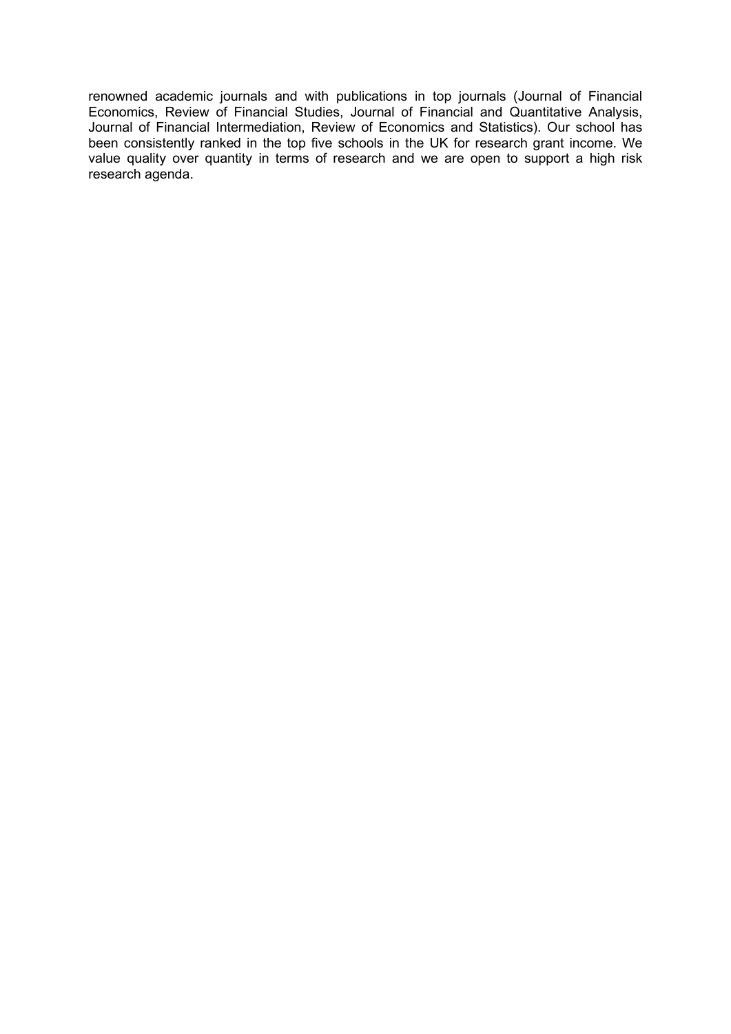renowned academic journals and with publications in top journals (Journal of Financial Economics, Review of Financial Studies, Journal of Financial and Quantitative Analysis, Journal of Financial Intermediation, Review of Economics and Statistics). Our school has been consistently ranked in the top five schools in the UK for research grant income. We value quality over quantity in terms of research and we are open to support a high risk research agenda.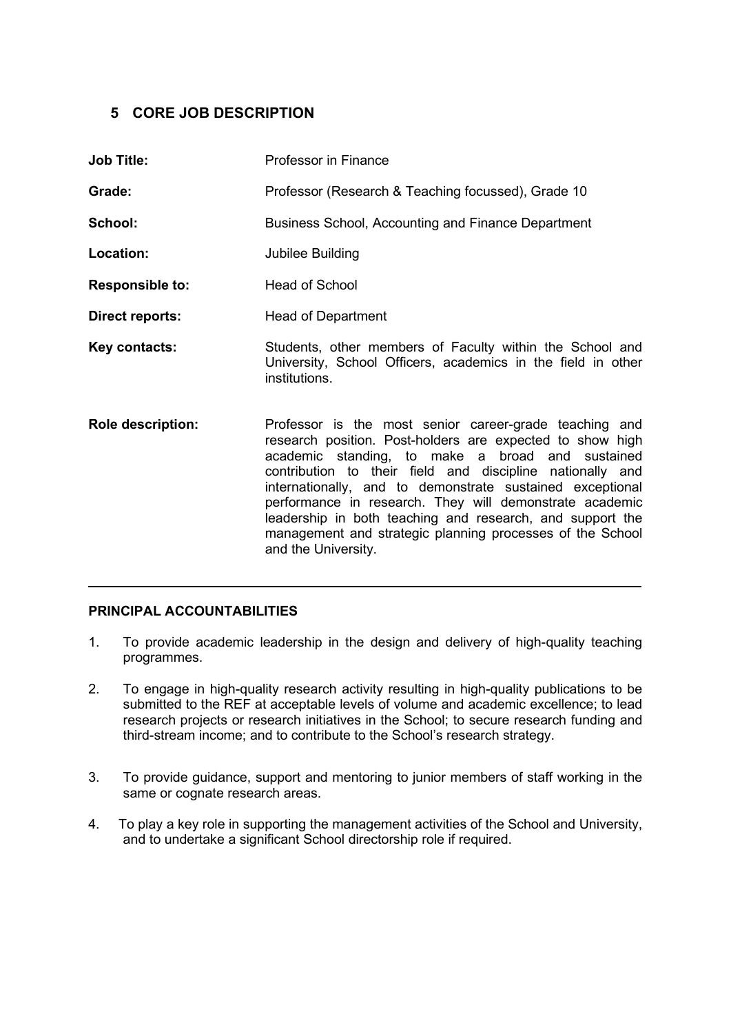## **5 CORE JOB DESCRIPTION**

| <b>Job Title:</b>        | Professor in Finance                                                                                                                                                                                                                                                                                                                                                                                                                                                                                          |
|--------------------------|---------------------------------------------------------------------------------------------------------------------------------------------------------------------------------------------------------------------------------------------------------------------------------------------------------------------------------------------------------------------------------------------------------------------------------------------------------------------------------------------------------------|
| Grade:                   | Professor (Research & Teaching focussed), Grade 10                                                                                                                                                                                                                                                                                                                                                                                                                                                            |
| School:                  | <b>Business School, Accounting and Finance Department</b>                                                                                                                                                                                                                                                                                                                                                                                                                                                     |
| Location:                | Jubilee Building                                                                                                                                                                                                                                                                                                                                                                                                                                                                                              |
| <b>Responsible to:</b>   | <b>Head of School</b>                                                                                                                                                                                                                                                                                                                                                                                                                                                                                         |
| <b>Direct reports:</b>   | <b>Head of Department</b>                                                                                                                                                                                                                                                                                                                                                                                                                                                                                     |
| Key contacts:            | Students, other members of Faculty within the School and<br>University, School Officers, academics in the field in other<br>institutions.                                                                                                                                                                                                                                                                                                                                                                     |
| <b>Role description:</b> | Professor is the most senior career-grade teaching and<br>research position. Post-holders are expected to show high<br>academic standing, to make a broad and sustained<br>contribution to their field and discipline nationally and<br>internationally, and to demonstrate sustained exceptional<br>performance in research. They will demonstrate academic<br>leadership in both teaching and research, and support the<br>management and strategic planning processes of the School<br>and the University. |

#### **PRINCIPAL ACCOUNTABILITIES**

1. To provide academic leadership in the design and delivery of high-quality teaching programmes.

 $\mathcal{L}=\mathcal{L}=\mathcal{L}=\mathcal{L}=\mathcal{L}=\mathcal{L}=\mathcal{L}=\mathcal{L}=\mathcal{L}=\mathcal{L}=\mathcal{L}=\mathcal{L}=\mathcal{L}=\mathcal{L}=\mathcal{L}=\mathcal{L}=\mathcal{L}=\mathcal{L}=\mathcal{L}=\mathcal{L}=\mathcal{L}=\mathcal{L}=\mathcal{L}=\mathcal{L}=\mathcal{L}=\mathcal{L}=\mathcal{L}=\mathcal{L}=\mathcal{L}=\mathcal{L}=\mathcal{L}=\mathcal{L}=\mathcal{L}=\mathcal{L}=\mathcal{L}=\mathcal{L}=\mathcal{$ 

- 2. To engage in high-quality research activity resulting in high-quality publications to be submitted to the REF at acceptable levels of volume and academic excellence; to lead research projects or research initiatives in the School; to secure research funding and third-stream income; and to contribute to the School's research strategy.
- 3. To provide guidance, support and mentoring to junior members of staff working in the same or cognate research areas.
- 4. To play a key role in supporting the management activities of the School and University, and to undertake a significant School directorship role if required.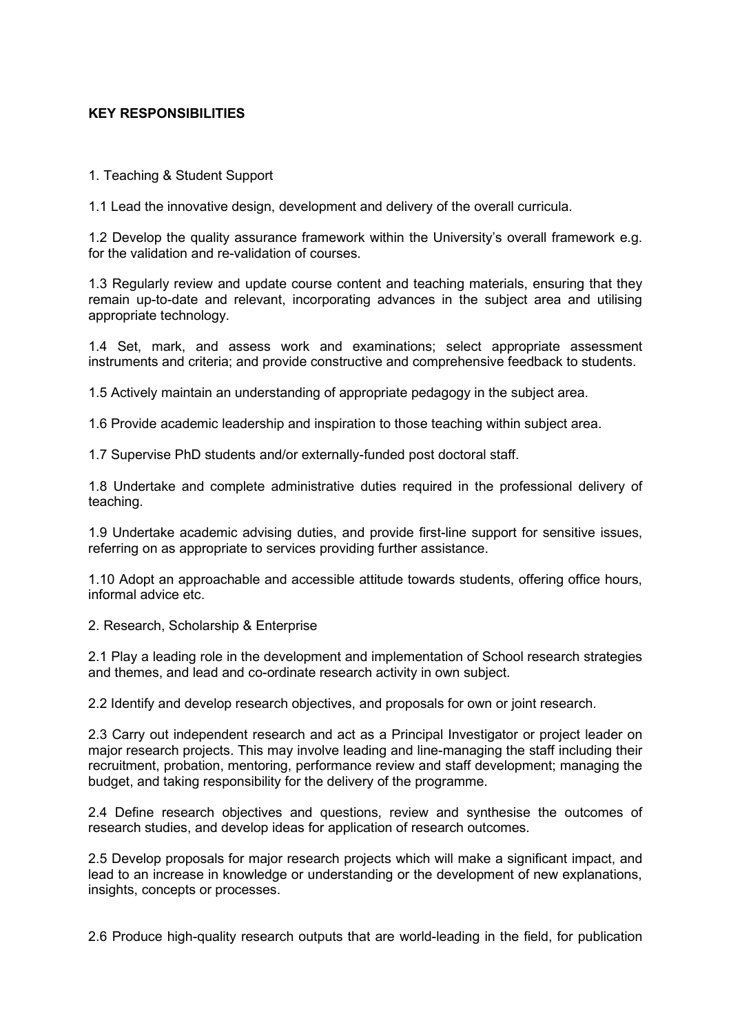#### **KEY RESPONSIBILITIES**

1. Teaching & Student Support

1.1 Lead the innovative design, development and delivery of the overall curricula.

1.2 Develop the quality assurance framework within the University's overall framework e.g. for the validation and re-validation of courses.

1.3 Regularly review and update course content and teaching materials, ensuring that they remain up-to-date and relevant, incorporating advances in the subject area and utilising appropriate technology.

1.4 Set, mark, and assess work and examinations; select appropriate assessment instruments and criteria; and provide constructive and comprehensive feedback to students.

1.5 Actively maintain an understanding of appropriate pedagogy in the subject area.

1.6 Provide academic leadership and inspiration to those teaching within subject area.

1.7 Supervise PhD students and/or externally-funded post doctoral staff.

1.8 Undertake and complete administrative duties required in the professional delivery of teaching.

1.9 Undertake academic advising duties, and provide first-line support for sensitive issues, referring on as appropriate to services providing further assistance.

1.10 Adopt an approachable and accessible attitude towards students, offering office hours, informal advice etc.

2. Research, Scholarship & Enterprise

2.1 Play a leading role in the development and implementation of School research strategies and themes, and lead and co-ordinate research activity in own subject.

2.2 Identify and develop research objectives, and proposals for own or joint research.

2.3 Carry out independent research and act as a Principal Investigator or project leader on major research projects. This may involve leading and line-managing the staff including their recruitment, probation, mentoring, performance review and staff development; managing the budget, and taking responsibility for the delivery of the programme.

2.4 Define research objectives and questions, review and synthesise the outcomes of research studies, and develop ideas for application of research outcomes.

2.5 Develop proposals for major research projects which will make a significant impact, and lead to an increase in knowledge or understanding or the development of new explanations, insights, concepts or processes.

2.6 Produce high-quality research outputs that are world-leading in the field, for publication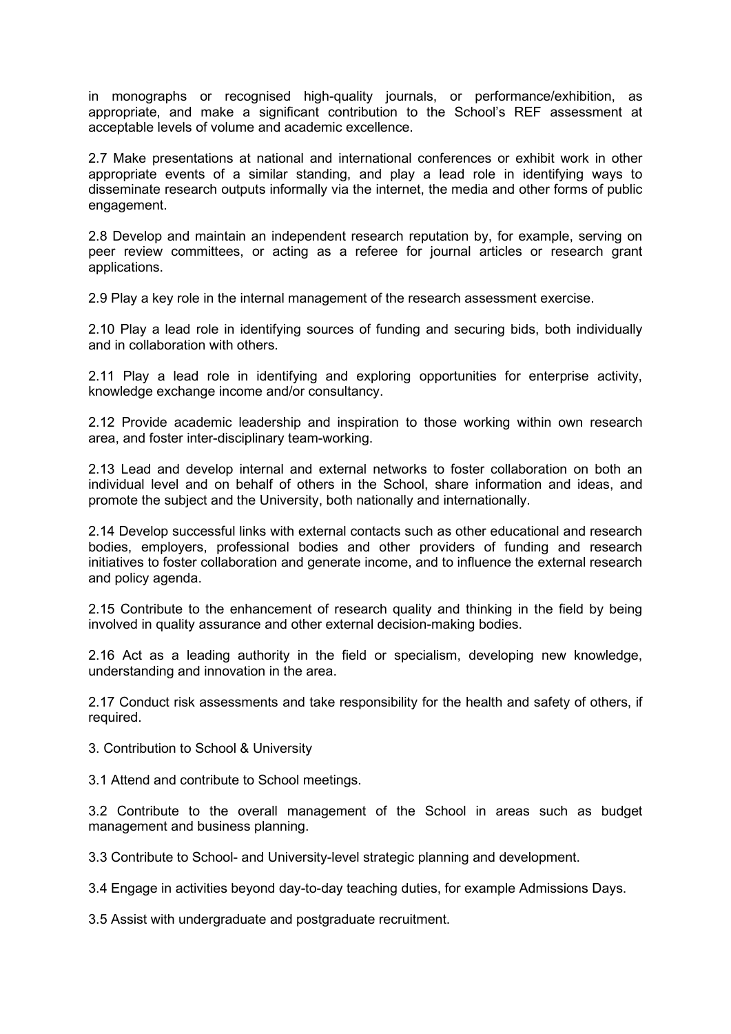in monographs or recognised high-quality journals, or performance/exhibition, as appropriate, and make a significant contribution to the School's REF assessment at acceptable levels of volume and academic excellence.

2.7 Make presentations at national and international conferences or exhibit work in other appropriate events of a similar standing, and play a lead role in identifying ways to disseminate research outputs informally via the internet, the media and other forms of public engagement.

2.8 Develop and maintain an independent research reputation by, for example, serving on peer review committees, or acting as a referee for journal articles or research grant applications.

2.9 Play a key role in the internal management of the research assessment exercise.

2.10 Play a lead role in identifying sources of funding and securing bids, both individually and in collaboration with others.

2.11 Play a lead role in identifying and exploring opportunities for enterprise activity, knowledge exchange income and/or consultancy.

2.12 Provide academic leadership and inspiration to those working within own research area, and foster inter-disciplinary team-working.

2.13 Lead and develop internal and external networks to foster collaboration on both an individual level and on behalf of others in the School, share information and ideas, and promote the subject and the University, both nationally and internationally.

2.14 Develop successful links with external contacts such as other educational and research bodies, employers, professional bodies and other providers of funding and research initiatives to foster collaboration and generate income, and to influence the external research and policy agenda.

2.15 Contribute to the enhancement of research quality and thinking in the field by being involved in quality assurance and other external decision-making bodies.

2.16 Act as a leading authority in the field or specialism, developing new knowledge, understanding and innovation in the area.

2.17 Conduct risk assessments and take responsibility for the health and safety of others, if required.

3. Contribution to School & University

3.1 Attend and contribute to School meetings.

3.2 Contribute to the overall management of the School in areas such as budget management and business planning.

3.3 Contribute to School- and University-level strategic planning and development.

3.4 Engage in activities beyond day-to-day teaching duties, for example Admissions Days.

3.5 Assist with undergraduate and postgraduate recruitment.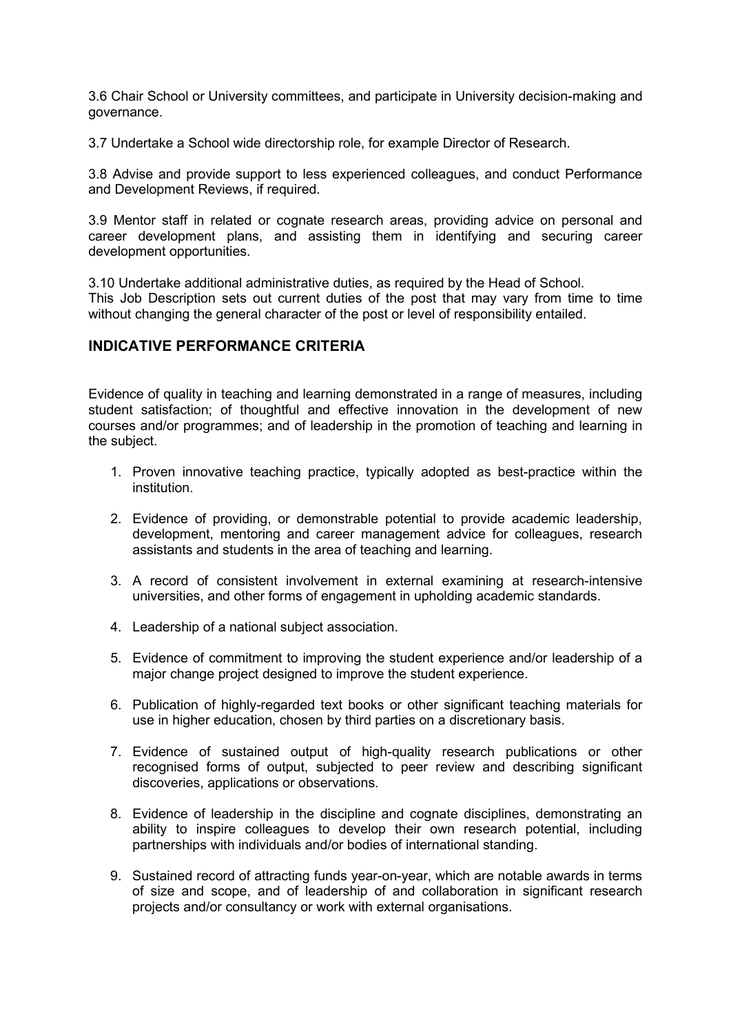3.6 Chair School or University committees, and participate in University decision-making and governance.

3.7 Undertake a School wide directorship role, for example Director of Research.

3.8 Advise and provide support to less experienced colleagues, and conduct Performance and Development Reviews, if required.

3.9 Mentor staff in related or cognate research areas, providing advice on personal and career development plans, and assisting them in identifying and securing career development opportunities.

3.10 Undertake additional administrative duties, as required by the Head of School. This Job Description sets out current duties of the post that may vary from time to time without changing the general character of the post or level of responsibility entailed.

# **INDICATIVE PERFORMANCE CRITERIA**

Evidence of quality in teaching and learning demonstrated in a range of measures, including student satisfaction; of thoughtful and effective innovation in the development of new courses and/or programmes; and of leadership in the promotion of teaching and learning in the subject.

- 1. Proven innovative teaching practice, typically adopted as best-practice within the institution.
- 2. Evidence of providing, or demonstrable potential to provide academic leadership, development, mentoring and career management advice for colleagues, research assistants and students in the area of teaching and learning.
- 3. A record of consistent involvement in external examining at research-intensive universities, and other forms of engagement in upholding academic standards.
- 4. Leadership of a national subject association.
- 5. Evidence of commitment to improving the student experience and/or leadership of a major change project designed to improve the student experience.
- 6. Publication of highly-regarded text books or other significant teaching materials for use in higher education, chosen by third parties on a discretionary basis.
- 7. Evidence of sustained output of high-quality research publications or other recognised forms of output, subjected to peer review and describing significant discoveries, applications or observations.
- 8. Evidence of leadership in the discipline and cognate disciplines, demonstrating an ability to inspire colleagues to develop their own research potential, including partnerships with individuals and/or bodies of international standing.
- 9. Sustained record of attracting funds year-on-year, which are notable awards in terms of size and scope, and of leadership of and collaboration in significant research projects and/or consultancy or work with external organisations.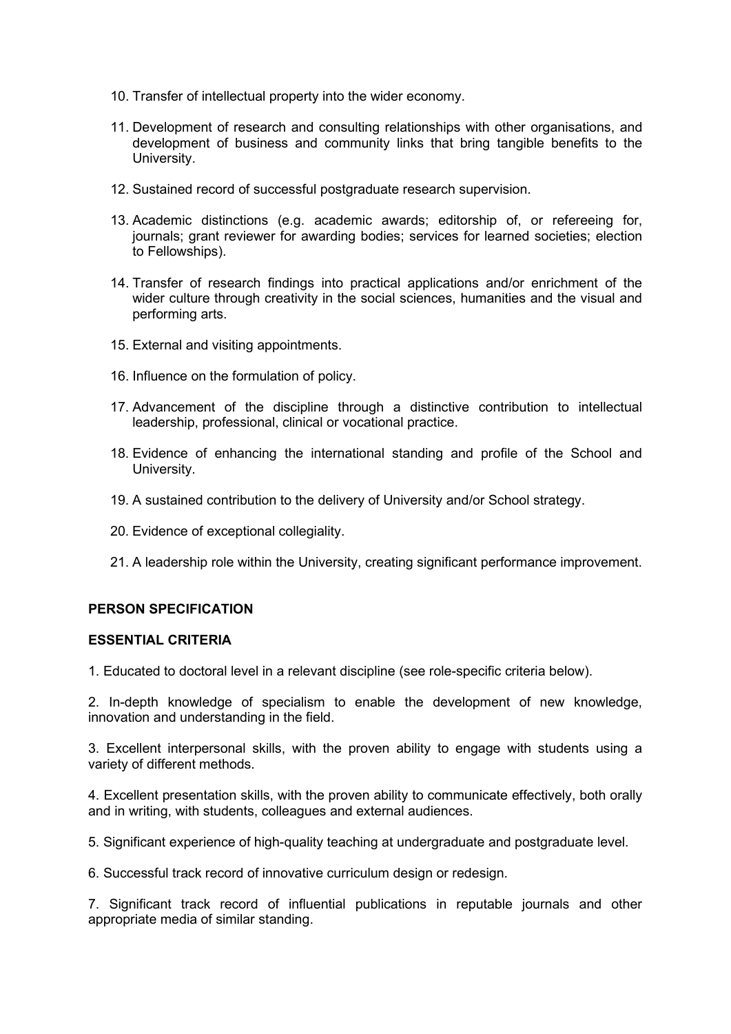- 10. Transfer of intellectual property into the wider economy.
- 11. Development of research and consulting relationships with other organisations, and development of business and community links that bring tangible benefits to the University.
- 12. Sustained record of successful postgraduate research supervision.
- 13. Academic distinctions (e.g. academic awards; editorship of, or refereeing for, journals; grant reviewer for awarding bodies; services for learned societies; election to Fellowships).
- 14. Transfer of research findings into practical applications and/or enrichment of the wider culture through creativity in the social sciences, humanities and the visual and performing arts.
- 15. External and visiting appointments.
- 16. Influence on the formulation of policy.
- 17. Advancement of the discipline through a distinctive contribution to intellectual leadership, professional, clinical or vocational practice.
- 18. Evidence of enhancing the international standing and profile of the School and University.
- 19. A sustained contribution to the delivery of University and/or School strategy.
- 20. Evidence of exceptional collegiality.
- 21. A leadership role within the University, creating significant performance improvement.

#### **PERSON SPECIFICATION**

#### **ESSENTIAL CRITERIA**

1. Educated to doctoral level in a relevant discipline (see role-specific criteria below).

2. In-depth knowledge of specialism to enable the development of new knowledge, innovation and understanding in the field.

3. Excellent interpersonal skills, with the proven ability to engage with students using a variety of different methods.

4. Excellent presentation skills, with the proven ability to communicate effectively, both orally and in writing, with students, colleagues and external audiences.

5. Significant experience of high-quality teaching at undergraduate and postgraduate level.

6. Successful track record of innovative curriculum design or redesign.

7. Significant track record of influential publications in reputable journals and other appropriate media of similar standing.